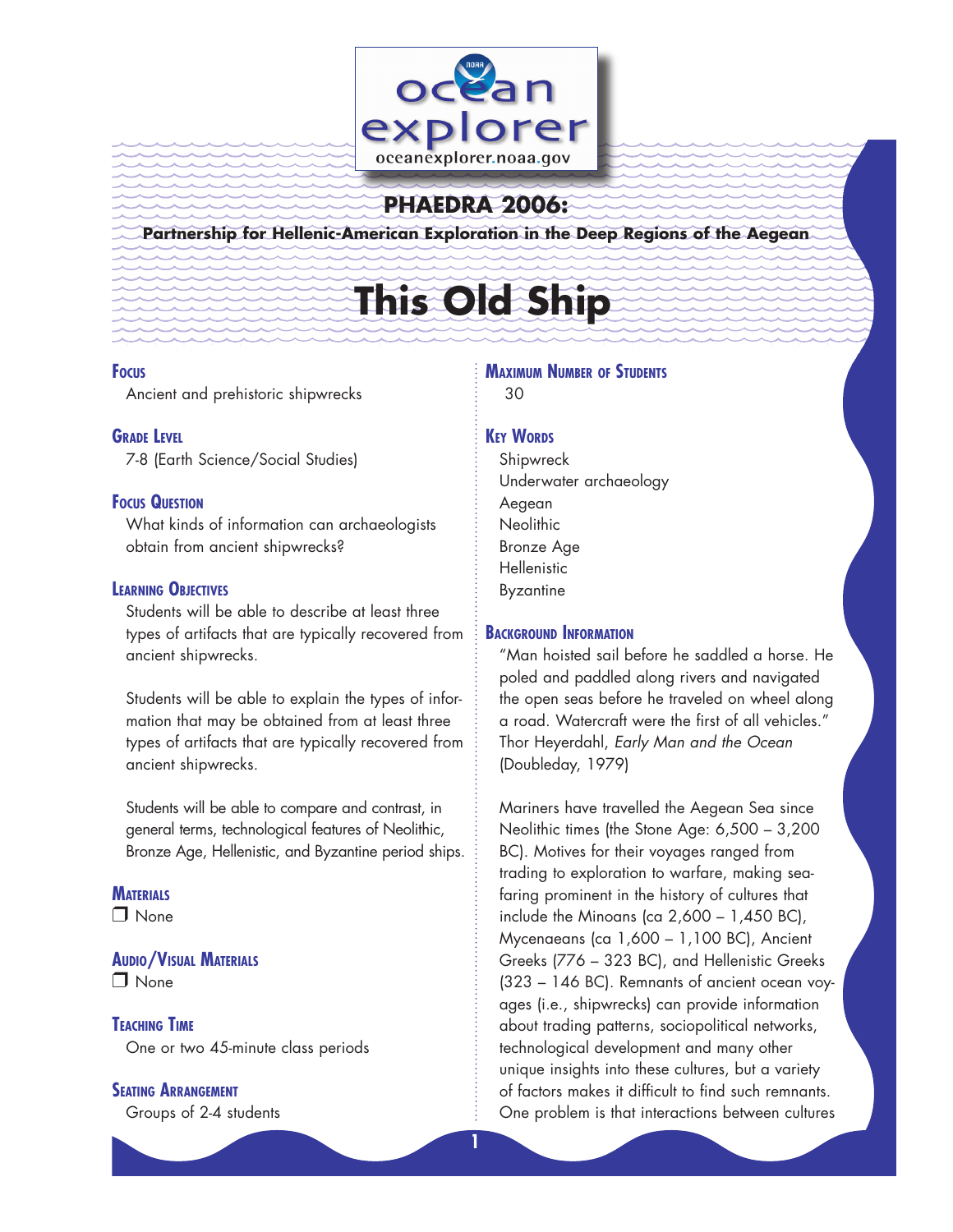

# **PHAEDRA 2006:**

**Partnership for Hellenic-American Exploration in the Deep Regions of the Aegean**

# **This Old Ship**

# **Focus**

Ancient and prehistoric shipwrecks

# **GRADE LEVEL**

7-8 (Earth Science/Social Studies)

# **Focus Question**

What kinds of information can archaeologists obtain from ancient shipwrecks?

# **Learning Objectives**

Students will be able to describe at least three types of artifacts that are typically recovered from ancient shipwrecks.

Students will be able to explain the types of information that may be obtained from at least three types of artifacts that are typically recovered from ancient shipwrecks.

Students will be able to compare and contrast, in general terms, technological features of Neolithic, Bronze Age, Hellenistic, and Byzantine period ships.

# **MATERIALS**

□ None

**Audio/Visual Materials** □ None

# **Teaching Time**

One or two 45-minute class periods

# **Seating Arrangement**

Groups of 2-4 students

# **Maximum Number of Students** 30

# **KEY WORDS**

Shipwreck Underwater archaeology Aegean **Neolithic** Bronze Age **Hellenistic** Byzantine

# **Background Information**

"Man hoisted sail before he saddled a horse. He poled and paddled along rivers and navigated the open seas before he traveled on wheel along a road. Watercraft were the first of all vehicles." Thor Heyerdahl, *Early Man and the Ocean* (Doubleday, 1979)

Mariners have travelled the Aegean Sea since Neolithic times (the Stone Age: 6,500 – 3,200 BC). Motives for their voyages ranged from trading to exploration to warfare, making seafaring prominent in the history of cultures that include the Minoans (ca  $2,600 - 1,450$  BC), Mycenaeans (ca 1,600 – 1,100 BC), Ancient Greeks (776 – 323 BC), and Hellenistic Greeks (323 – 146 BC). Remnants of ancient ocean voyages (i.e., shipwrecks) can provide information about trading patterns, sociopolitical networks, technological development and many other unique insights into these cultures, but a variety of factors makes it difficult to find such remnants. One problem is that interactions between cultures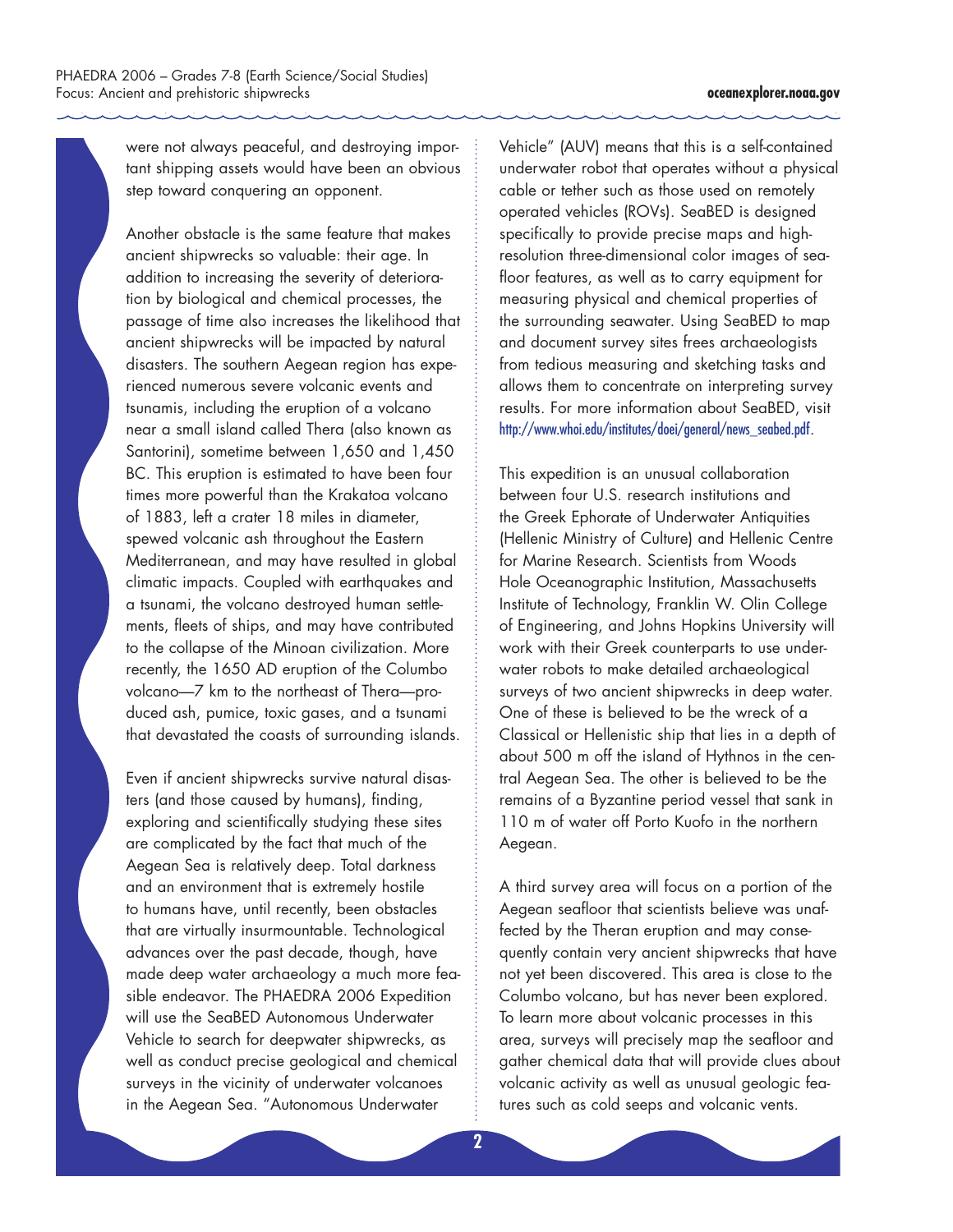were not always peaceful, and destroying important shipping assets would have been an obvious step toward conquering an opponent.

Another obstacle is the same feature that makes ancient shipwrecks so valuable: their age. In addition to increasing the severity of deterioration by biological and chemical processes, the passage of time also increases the likelihood that ancient shipwrecks will be impacted by natural disasters. The southern Aegean region has experienced numerous severe volcanic events and tsunamis, including the eruption of a volcano near a small island called Thera (also known as Santorini), sometime between 1,650 and 1,450 BC. This eruption is estimated to have been four times more powerful than the Krakatoa volcano of 1883, left a crater 18 miles in diameter, spewed volcanic ash throughout the Eastern Mediterranean, and may have resulted in global climatic impacts. Coupled with earthquakes and a tsunami, the volcano destroyed human settlements, fleets of ships, and may have contributed to the collapse of the Minoan civilization. More recently, the 1650 AD eruption of the Columbo volcano—7 km to the northeast of Thera—produced ash, pumice, toxic gases, and a tsunami that devastated the coasts of surrounding islands.

Even if ancient shipwrecks survive natural disasters (and those caused by humans), finding, exploring and scientifically studying these sites are complicated by the fact that much of the Aegean Sea is relatively deep. Total darkness and an environment that is extremely hostile to humans have, until recently, been obstacles that are virtually insurmountable. Technological advances over the past decade, though, have made deep water archaeology a much more feasible endeavor. The PHAEDRA 2006 Expedition will use the SeaBED Autonomous Underwater Vehicle to search for deepwater shipwrecks, as well as conduct precise geological and chemical surveys in the vicinity of underwater volcanoes in the Aegean Sea. "Autonomous Underwater

Vehicle" (AUV) means that this is a self-contained underwater robot that operates without a physical cable or tether such as those used on remotely operated vehicles (ROVs). SeaBED is designed specifically to provide precise maps and highresolution three-dimensional color images of seafloor features, as well as to carry equipment for measuring physical and chemical properties of the surrounding seawater. Using SeaBED to map and document survey sites frees archaeologists from tedious measuring and sketching tasks and allows them to concentrate on interpreting survey results. For more information about SeaBED, visit http://www.whoi.edu/institutes/doei/general/news\_seabed.pdf.

This expedition is an unusual collaboration between four U.S. research institutions and the Greek Ephorate of Underwater Antiquities (Hellenic Ministry of Culture) and Hellenic Centre for Marine Research. Scientists from Woods Hole Oceanographic Institution, Massachusetts Institute of Technology, Franklin W. Olin College of Engineering, and Johns Hopkins University will work with their Greek counterparts to use underwater robots to make detailed archaeological surveys of two ancient shipwrecks in deep water. One of these is believed to be the wreck of a Classical or Hellenistic ship that lies in a depth of about 500 m off the island of Hythnos in the central Aegean Sea. The other is believed to be the remains of a Byzantine period vessel that sank in 110 m of water off Porto Kuofo in the northern Aegean.

A third survey area will focus on a portion of the Aegean seafloor that scientists believe was unaffected by the Theran eruption and may consequently contain very ancient shipwrecks that have not yet been discovered. This area is close to the Columbo volcano, but has never been explored. To learn more about volcanic processes in this area, surveys will precisely map the seafloor and gather chemical data that will provide clues about volcanic activity as well as unusual geologic features such as cold seeps and volcanic vents.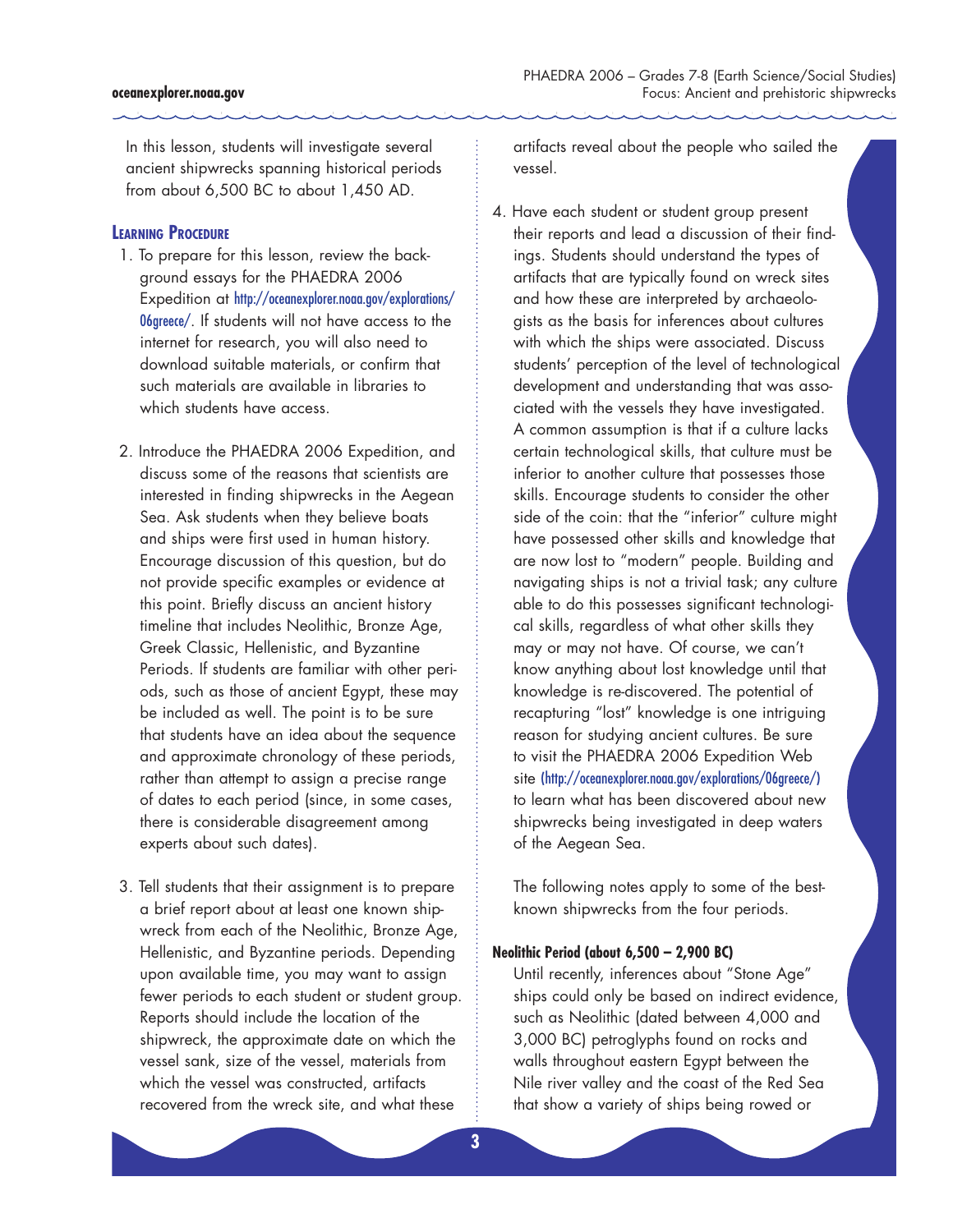In this lesson, students will investigate several ancient shipwrecks spanning historical periods from about 6,500 BC to about 1,450 AD.

# **Learning Procedure**

- 1. To prepare for this lesson, review the background essays for the PHAEDRA 2006 Expedition at http://oceanexplorer.noaa.gov/explorations/ 06greece/. If students will not have access to the internet for research, you will also need to download suitable materials, or confirm that such materials are available in libraries to which students have access.
- 2. Introduce the PHAEDRA 2006 Expedition, and discuss some of the reasons that scientists are interested in finding shipwrecks in the Aegean Sea. Ask students when they believe boats and ships were first used in human history. Encourage discussion of this question, but do not provide specific examples or evidence at this point. Briefly discuss an ancient history timeline that includes Neolithic, Bronze Age, Greek Classic, Hellenistic, and Byzantine Periods. If students are familiar with other periods, such as those of ancient Egypt, these may be included as well. The point is to be sure that students have an idea about the sequence and approximate chronology of these periods, rather than attempt to assign a precise range of dates to each period (since, in some cases, there is considerable disagreement among experts about such dates).
- 3. Tell students that their assignment is to prepare a brief report about at least one known shipwreck from each of the Neolithic, Bronze Age, Hellenistic, and Byzantine periods. Depending upon available time, you may want to assign fewer periods to each student or student group. Reports should include the location of the shipwreck, the approximate date on which the vessel sank, size of the vessel, materials from which the vessel was constructed, artifacts recovered from the wreck site, and what these

artifacts reveal about the people who sailed the vessel.

4. Have each student or student group present their reports and lead a discussion of their findings. Students should understand the types of artifacts that are typically found on wreck sites and how these are interpreted by archaeologists as the basis for inferences about cultures with which the ships were associated. Discuss students' perception of the level of technological development and understanding that was associated with the vessels they have investigated. A common assumption is that if a culture lacks certain technological skills, that culture must be inferior to another culture that possesses those skills. Encourage students to consider the other side of the coin: that the "inferior" culture might have possessed other skills and knowledge that are now lost to "modern" people. Building and navigating ships is not a trivial task; any culture able to do this possesses significant technological skills, regardless of what other skills they may or may not have. Of course, we can't know anything about lost knowledge until that knowledge is re-discovered. The potential of recapturing "lost" knowledge is one intriguing reason for studying ancient cultures. Be sure to visit the PHAEDRA 2006 Expedition Web site (http://oceanexplorer.noaa.gov/explorations/06greece/) to learn what has been discovered about new shipwrecks being investigated in deep waters of the Aegean Sea.

The following notes apply to some of the bestknown shipwrecks from the four periods.

# **Neolithic Period (about 6,500 – 2,900 BC)**

Until recently, inferences about "Stone Age" ships could only be based on indirect evidence, such as Neolithic (dated between 4,000 and 3,000 BC) petroglyphs found on rocks and walls throughout eastern Egypt between the Nile river valley and the coast of the Red Sea that show a variety of ships being rowed or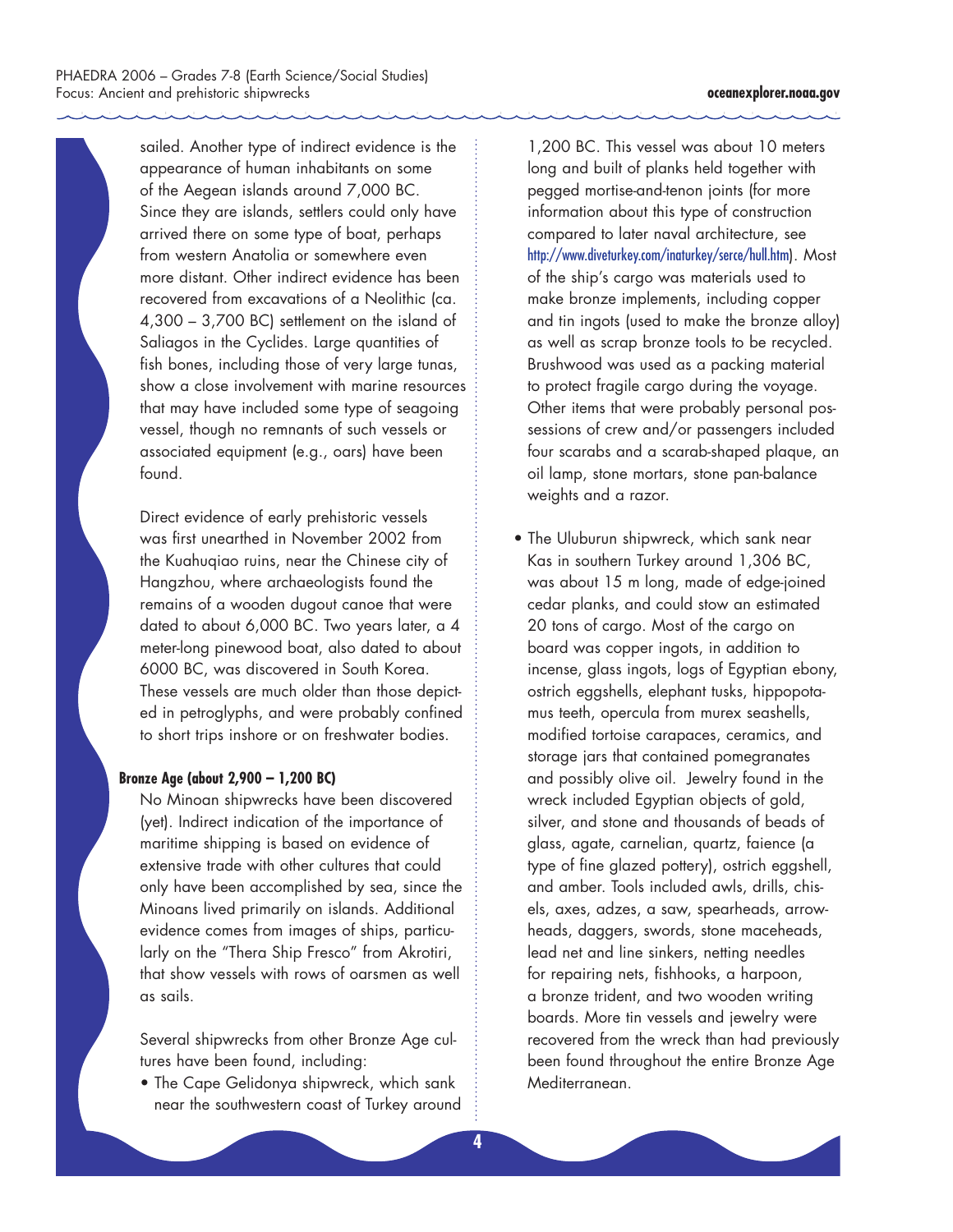sailed. Another type of indirect evidence is the appearance of human inhabitants on some of the Aegean islands around 7,000 BC. Since they are islands, settlers could only have arrived there on some type of boat, perhaps from western Anatolia or somewhere even more distant. Other indirect evidence has been recovered from excavations of a Neolithic (ca. 4,300 – 3,700 BC) settlement on the island of Saliagos in the Cyclides. Large quantities of fish bones, including those of very large tunas, show a close involvement with marine resources that may have included some type of seagoing vessel, though no remnants of such vessels or associated equipment (e.g., oars) have been found.

Direct evidence of early prehistoric vessels was first unearthed in November 2002 from the Kuahuqiao ruins, near the Chinese city of Hangzhou, where archaeologists found the remains of a wooden dugout canoe that were dated to about 6,000 BC. Two years later, a 4 meter-long pinewood boat, also dated to about 6000 BC, was discovered in South Korea. These vessels are much older than those depicted in petroglyphs, and were probably confined to short trips inshore or on freshwater bodies.

# **Bronze Age (about 2,900 – 1,200 BC)**

No Minoan shipwrecks have been discovered (yet). Indirect indication of the importance of maritime shipping is based on evidence of extensive trade with other cultures that could only have been accomplished by sea, since the Minoans lived primarily on islands. Additional evidence comes from images of ships, particularly on the "Thera Ship Fresco" from Akrotiri, that show vessels with rows of oarsmen as well as sails.

Several shipwrecks from other Bronze Age cultures have been found, including:

• The Cape Gelidonya shipwreck, which sank near the southwestern coast of Turkey around

1,200 BC. This vessel was about 10 meters long and built of planks held together with pegged mortise-and-tenon joints (for more information about this type of construction compared to later naval architecture, see http://www.diveturkey.com/inaturkey/serce/hull.htm). Most of the ship's cargo was materials used to make bronze implements, including copper and tin ingots (used to make the bronze alloy) as well as scrap bronze tools to be recycled. Brushwood was used as a packing material to protect fragile cargo during the voyage. Other items that were probably personal possessions of crew and/or passengers included four scarabs and a scarab-shaped plaque, an oil lamp, stone mortars, stone pan-balance weights and a razor.

• The Uluburun shipwreck, which sank near Kas in southern Turkey around 1,306 BC, was about 15 m long, made of edge-joined cedar planks, and could stow an estimated 20 tons of cargo. Most of the cargo on board was copper ingots, in addition to incense, glass ingots, logs of Egyptian ebony, ostrich eggshells, elephant tusks, hippopotamus teeth, opercula from murex seashells, modified tortoise carapaces, ceramics, and storage jars that contained pomegranates and possibly olive oil. Jewelry found in the wreck included Egyptian objects of gold, silver, and stone and thousands of beads of glass, agate, carnelian, quartz, faience (a type of fine glazed pottery), ostrich eggshell, and amber. Tools included awls, drills, chisels, axes, adzes, a saw, spearheads, arrowheads, daggers, swords, stone maceheads, lead net and line sinkers, netting needles for repairing nets, fishhooks, a harpoon, a bronze trident, and two wooden writing boards. More tin vessels and jewelry were recovered from the wreck than had previously been found throughout the entire Bronze Age Mediterranean.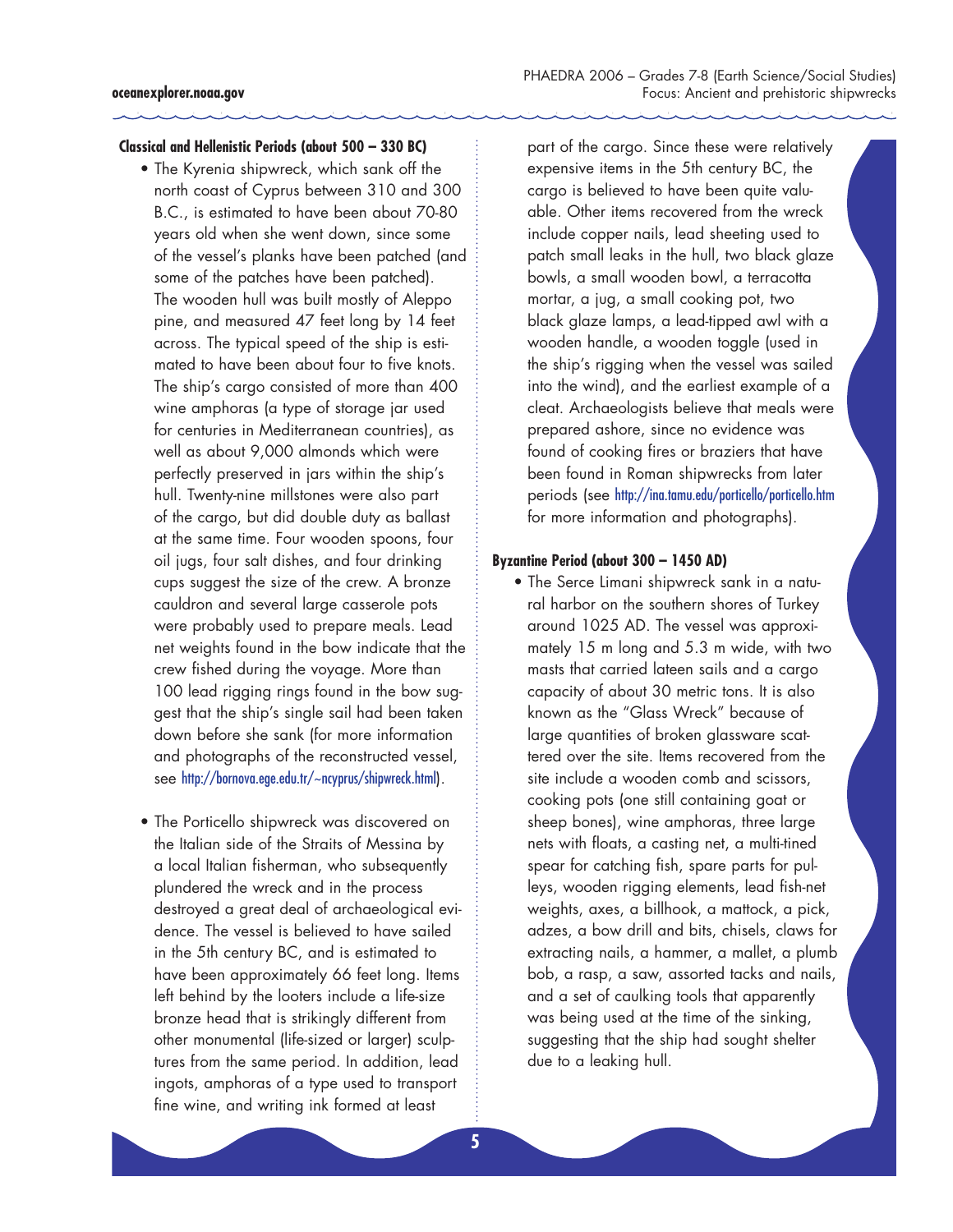# **Classical and Hellenistic Periods (about 500 – 330 BC)**

- The Kyrenia shipwreck, which sank off the north coast of Cyprus between 310 and 300 B.C., is estimated to have been about 70-80 years old when she went down, since some of the vessel's planks have been patched (and some of the patches have been patched). The wooden hull was built mostly of Aleppo pine, and measured 47 feet long by 14 feet across. The typical speed of the ship is estimated to have been about four to five knots. The ship's cargo consisted of more than 400 wine amphoras (a type of storage jar used for centuries in Mediterranean countries), as well as about 9,000 almonds which were perfectly preserved in jars within the ship's hull. Twenty-nine millstones were also part of the cargo, but did double duty as ballast at the same time. Four wooden spoons, four oil jugs, four salt dishes, and four drinking cups suggest the size of the crew. A bronze cauldron and several large casserole pots were probably used to prepare meals. Lead net weights found in the bow indicate that the crew fished during the voyage. More than 100 lead rigging rings found in the bow suggest that the ship's single sail had been taken down before she sank (for more information and photographs of the reconstructed vessel, see http://bornova.ege.edu.tr/~ncyprus/shipwreck.html).
- The Porticello shipwreck was discovered on the Italian side of the Straits of Messina by a local Italian fisherman, who subsequently plundered the wreck and in the process destroyed a great deal of archaeological evidence. The vessel is believed to have sailed in the 5th century BC, and is estimated to have been approximately 66 feet long. Items left behind by the looters include a life-size bronze head that is strikingly different from other monumental (life-sized or larger) sculptures from the same period. In addition, lead ingots, amphoras of a type used to transport fine wine, and writing ink formed at least

part of the cargo. Since these were relatively expensive items in the 5th century BC, the cargo is believed to have been quite valuable. Other items recovered from the wreck include copper nails, lead sheeting used to patch small leaks in the hull, two black glaze bowls, a small wooden bowl, a terracotta mortar, a jug, a small cooking pot, two black glaze lamps, a lead-tipped awl with a wooden handle, a wooden toggle (used in the ship's rigging when the vessel was sailed into the wind), and the earliest example of a cleat. Archaeologists believe that meals were prepared ashore, since no evidence was found of cooking fires or braziers that have been found in Roman shipwrecks from later periods (see http://ina.tamu.edu/porticello/porticello.htm for more information and photographs).

#### **Byzantine Period (about 300 – 1450 AD)**

• The Serce Limani shipwreck sank in a natural harbor on the southern shores of Turkey around 1025 AD. The vessel was approximately 15 m long and 5.3 m wide, with two masts that carried lateen sails and a cargo capacity of about 30 metric tons. It is also known as the "Glass Wreck" because of large quantities of broken glassware scattered over the site. Items recovered from the site include a wooden comb and scissors, cooking pots (one still containing goat or sheep bones), wine amphoras, three large nets with floats, a casting net, a multi-tined spear for catching fish, spare parts for pulleys, wooden rigging elements, lead fish-net weights, axes, a billhook, a mattock, a pick, adzes, a bow drill and bits, chisels, claws for extracting nails, a hammer, a mallet, a plumb bob, a rasp, a saw, assorted tacks and nails, and a set of caulking tools that apparently was being used at the time of the sinking, suggesting that the ship had sought shelter due to a leaking hull.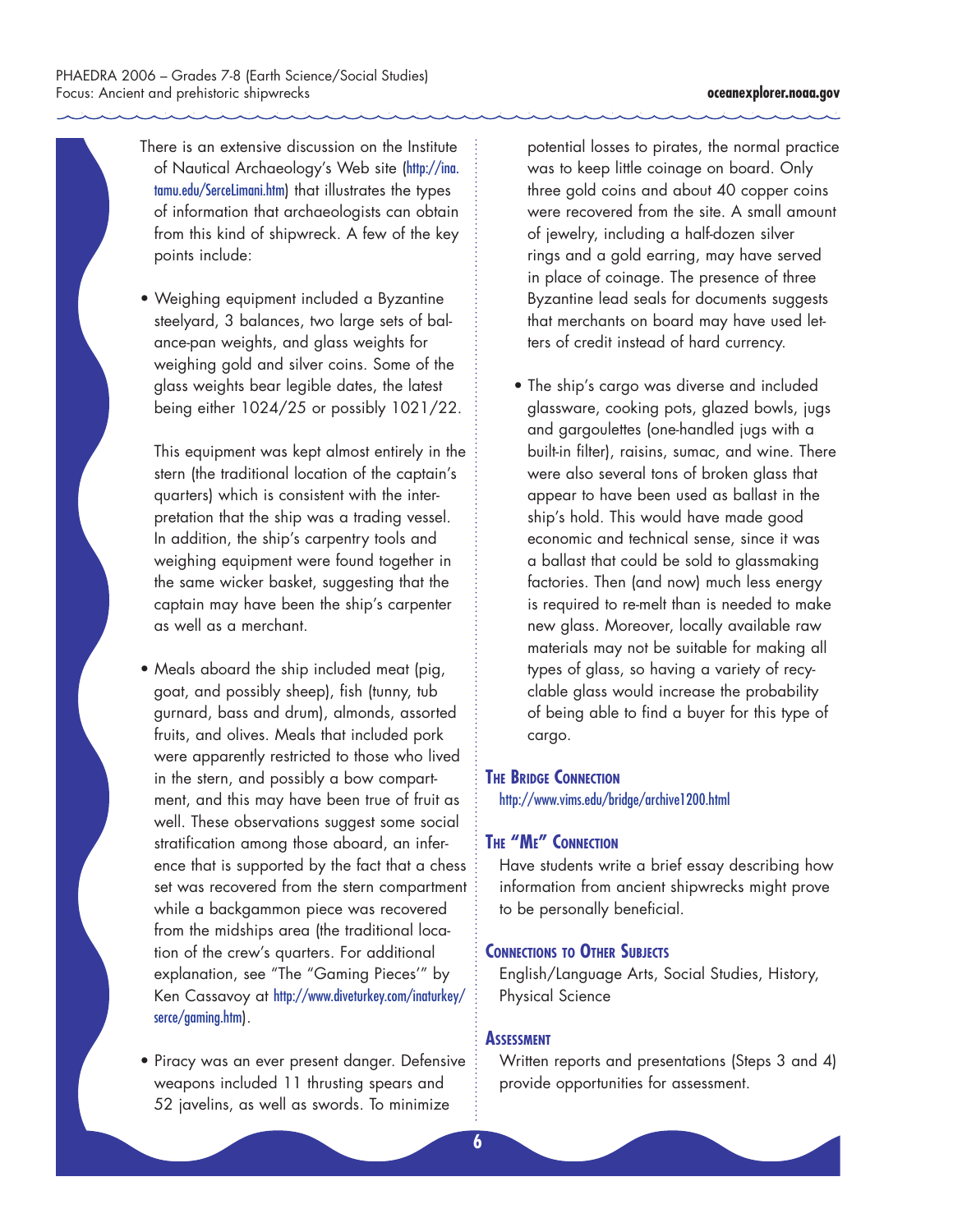- There is an extensive discussion on the Institute of Nautical Archaeology's Web site (http://ina. tamu.edu/SerceLimani.htm) that illustrates the types of information that archaeologists can obtain from this kind of shipwreck. A few of the key points include:
- Weighing equipment included a Byzantine steelyard, 3 balances, two large sets of balance-pan weights, and glass weights for weighing gold and silver coins. Some of the glass weights bear legible dates, the latest being either 1024/25 or possibly 1021/22.

This equipment was kept almost entirely in the stern (the traditional location of the captain's quarters) which is consistent with the interpretation that the ship was a trading vessel. In addition, the ship's carpentry tools and weighing equipment were found together in the same wicker basket, suggesting that the captain may have been the ship's carpenter as well as a merchant.

- Meals aboard the ship included meat (pig, goat, and possibly sheep), fish (tunny, tub gurnard, bass and drum), almonds, assorted fruits, and olives. Meals that included pork were apparently restricted to those who lived in the stern, and possibly a bow compartment, and this may have been true of fruit as well. These observations suggest some social stratification among those aboard, an inference that is supported by the fact that a chess set was recovered from the stern compartment while a backgammon piece was recovered from the midships area (the traditional location of the crew's quarters. For additional explanation, see "The "Gaming Pieces'" by Ken Cassavoy at http://www.diveturkey.com/inaturkey/ serce/gaming.htm).
- Piracy was an ever present danger. Defensive weapons included 11 thrusting spears and 52 javelins, as well as swords. To minimize

potential losses to pirates, the normal practice was to keep little coinage on board. Only three gold coins and about 40 copper coins were recovered from the site. A small amount of jewelry, including a half-dozen silver rings and a gold earring, may have served in place of coinage. The presence of three Byzantine lead seals for documents suggests that merchants on board may have used letters of credit instead of hard currency.

• The ship's cargo was diverse and included glassware, cooking pots, glazed bowls, jugs and gargoulettes (one-handled jugs with a built-in filter), raisins, sumac, and wine. There were also several tons of broken glass that appear to have been used as ballast in the ship's hold. This would have made good economic and technical sense, since it was a ballast that could be sold to glassmaking factories. Then (and now) much less energy is required to re-melt than is needed to make new glass. Moreover, locally available raw materials may not be suitable for making all types of glass, so having a variety of recyclable glass would increase the probability of being able to find a buyer for this type of cargo.

#### **The Bridge Connection**

http://www.vims.edu/bridge/archive1200.html

### **The "Me" Connection**

Have students write a brief essay describing how information from ancient shipwrecks might prove to be personally beneficial.

# **Connections to Other Subjects**

English/Language Arts, Social Studies, History, Physical Science

#### **Assessment**

Written reports and presentations (Steps 3 and 4) provide opportunities for assessment.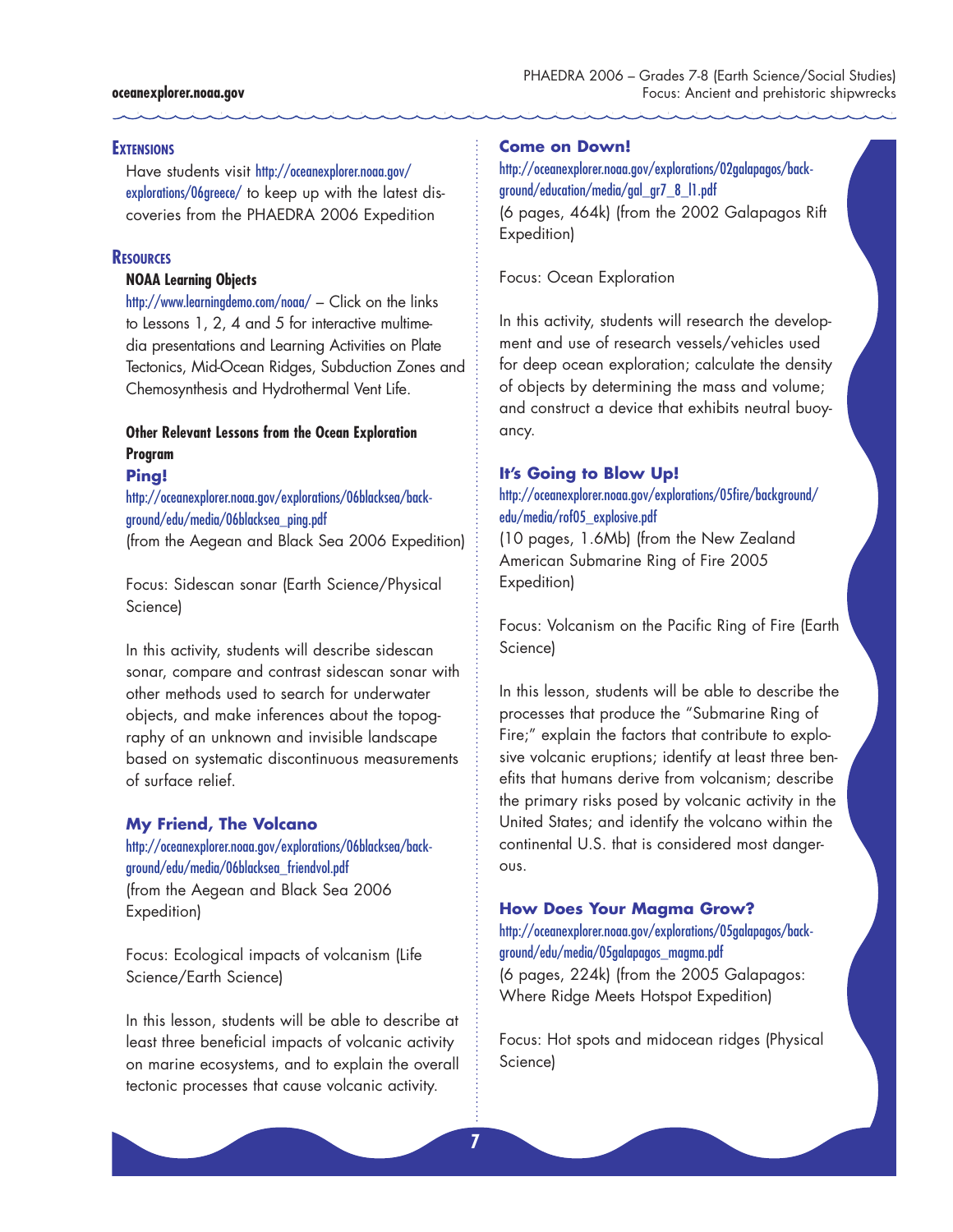#### **oceanexplorer.noaa.gov**

#### **EXTENSIONS**

Have students visit http://oceanexplorer.noaa.gov/ explorations/06greece/ to keep up with the latest discoveries from the PHAEDRA 2006 Expedition

#### **Resources**

#### **NOAA Learning Objects**

http://www.learningdemo.com/noaa/ – Click on the links to Lessons 1, 2, 4 and 5 for interactive multimedia presentations and Learning Activities on Plate Tectonics, Mid-Ocean Ridges, Subduction Zones and Chemosynthesis and Hydrothermal Vent Life.

# **Other Relevant Lessons from the Ocean Exploration Program**

#### **Ping!**

http://oceanexplorer.noaa.gov/explorations/06blacksea/background/edu/media/06blacksea\_ping.pdf (from the Aegean and Black Sea 2006 Expedition)

Focus: Sidescan sonar (Earth Science/Physical Science)

In this activity, students will describe sidescan sonar, compare and contrast sidescan sonar with other methods used to search for underwater objects, and make inferences about the topography of an unknown and invisible landscape based on systematic discontinuous measurements of surface relief.

#### **My Friend, The Volcano**

http://oceanexplorer.noaa.gov/explorations/06blacksea/background/edu/media/06blacksea\_friendvol.pdf (from the Aegean and Black Sea 2006 Expedition)

Focus: Ecological impacts of volcanism (Life Science/Earth Science)

In this lesson, students will be able to describe at least three beneficial impacts of volcanic activity on marine ecosystems, and to explain the overall tectonic processes that cause volcanic activity.

#### **Come on Down!**

http://oceanexplorer.noaa.gov/explorations/02galapagos/background/education/media/gal\_gr7\_8\_l1.pdf (6 pages, 464k) (from the 2002 Galapagos Rift Expedition)

Focus: Ocean Exploration

In this activity, students will research the development and use of research vessels/vehicles used for deep ocean exploration; calculate the density of objects by determining the mass and volume; and construct a device that exhibits neutral buoyancy.

# **It's Going to Blow Up!**

# http://oceanexplorer.noaa.gov/explorations/05fire/background/ edu/media/rof05\_explosive.pdf

(10 pages, 1.6Mb) (from the New Zealand American Submarine Ring of Fire 2005 Expedition)

Focus: Volcanism on the Pacific Ring of Fire (Earth Science)

In this lesson, students will be able to describe the processes that produce the "Submarine Ring of Fire;" explain the factors that contribute to explosive volcanic eruptions; identify at least three benefits that humans derive from volcanism; describe the primary risks posed by volcanic activity in the United States; and identify the volcano within the continental U.S. that is considered most dangerous.

## **How Does Your Magma Grow?**

# http://oceanexplorer.noaa.gov/explorations/05galapagos/background/edu/media/05galapagos\_magma.pdf

(6 pages, 224k) (from the 2005 Galapagos: Where Ridge Meets Hotspot Expedition)

Focus: Hot spots and midocean ridges (Physical Science)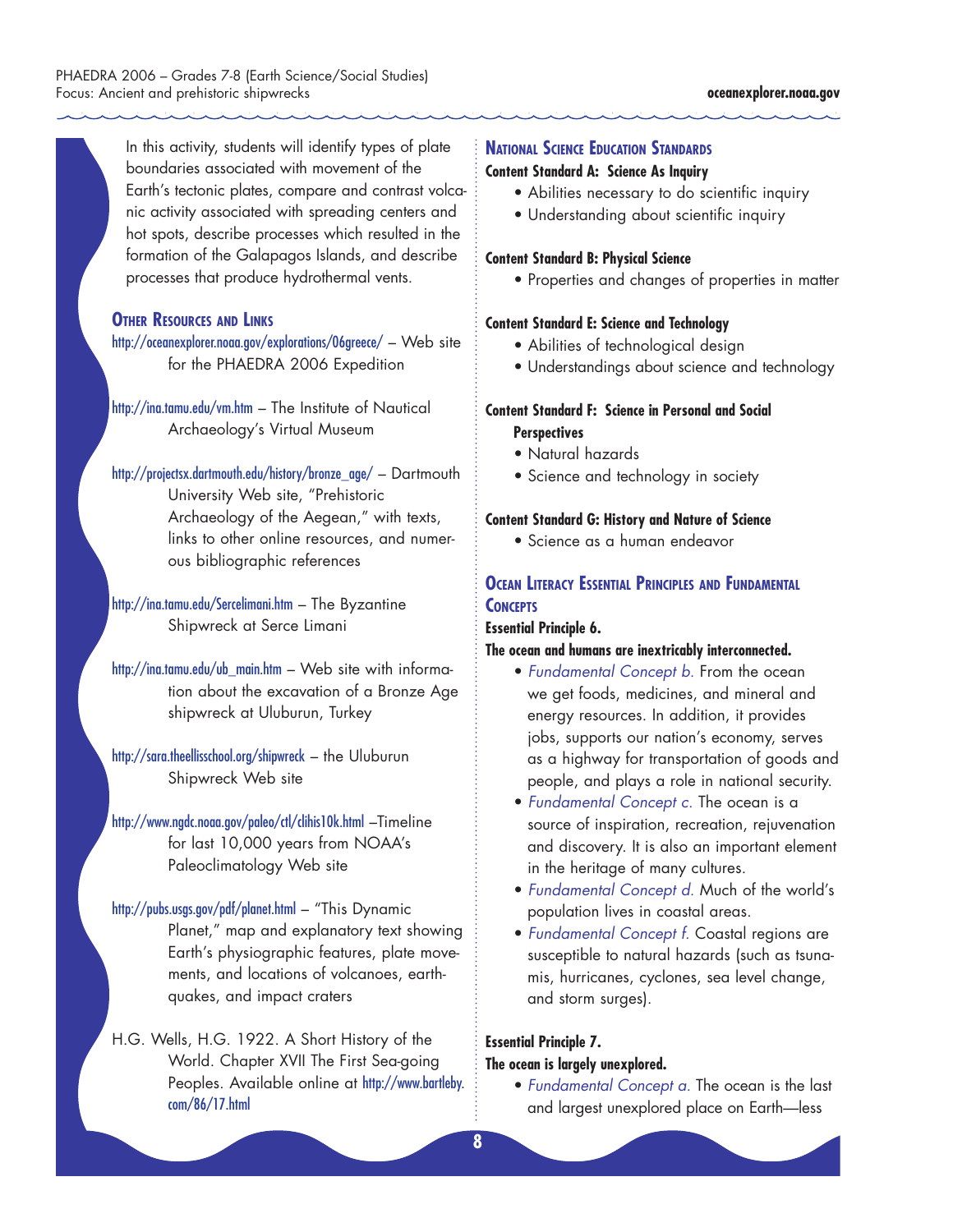In this activity, students will identify types of plate boundaries associated with movement of the Earth's tectonic plates, compare and contrast volcanic activity associated with spreading centers and hot spots, describe processes which resulted in the formation of the Galapagos Islands, and describe processes that produce hydrothermal vents.

## **Other Resources and Links**

http://oceanexplorer.noaa.gov/explorations/06greece/ – Web site for the PHAEDRA 2006 Expedition

http://ina.tamu.edu/vm.htm – The Institute of Nautical Archaeology's Virtual Museum

http://projectsx.dartmouth.edu/history/bronze\_age/ – Dartmouth University Web site, "Prehistoric Archaeology of the Aegean," with texts, links to other online resources, and numerous bibliographic references

http://ina.tamu.edu/Sercelimani.htm – The Byzantine Shipwreck at Serce Limani

http://ina.tamu.edu/ub\_main.htm – Web site with information about the excavation of a Bronze Age shipwreck at Uluburun, Turkey

http://sara.theellisschool.org/shipwreck – the Uluburun Shipwreck Web site

http://www.ngdc.noaa.gov/paleo/ctl/clihis10k.html –Timeline for last 10,000 years from NOAA's Paleoclimatology Web site

http://pubs.usgs.gov/pdf/planet.html – "This Dynamic Planet," map and explanatory text showing Earth's physiographic features, plate movements, and locations of volcanoes, earthquakes, and impact craters

H.G. Wells, H.G. 1922. A Short History of the World. Chapter XVII The First Sea-going Peoples. Available online at http://www.bartleby. com/86/17.html

# **National Science Education Standards**

# **Content Standard A: Science As Inquiry**

- Abilities necessary to do scientific inquiry
- Understanding about scientific inquiry

# **Content Standard B: Physical Science**

• Properties and changes of properties in matter

#### **Content Standard E: Science and Technology**

- Abilities of technological design
- Understandings about science and technology

# **Content Standard F: Science in Personal and Social Perspectives**

- Natural hazards
- Science and technology in society

#### **Content Standard G: History and Nature of Science**

• Science as a human endeavor

# **Ocean Literacy Essential Principles and Fundamental Concepts**

# **Essential Principle 6.**

# **The ocean and humans are inextricably interconnected.**

- *Fundamental Concept b.* From the ocean we get foods, medicines, and mineral and energy resources. In addition, it provides jobs, supports our nation's economy, serves as a highway for transportation of goods and people, and plays a role in national security.
- *Fundamental Concept c.* The ocean is a source of inspiration, recreation, rejuvenation and discovery. It is also an important element in the heritage of many cultures.
- *Fundamental Concept d.* Much of the world's population lives in coastal areas.
- *Fundamental Concept f.* Coastal regions are susceptible to natural hazards (such as tsunamis, hurricanes, cyclones, sea level change, and storm surges).

#### **Essential Principle 7.**

# **The ocean is largely unexplored.**

• *Fundamental Concept a.* The ocean is the last and largest unexplored place on Earth—less